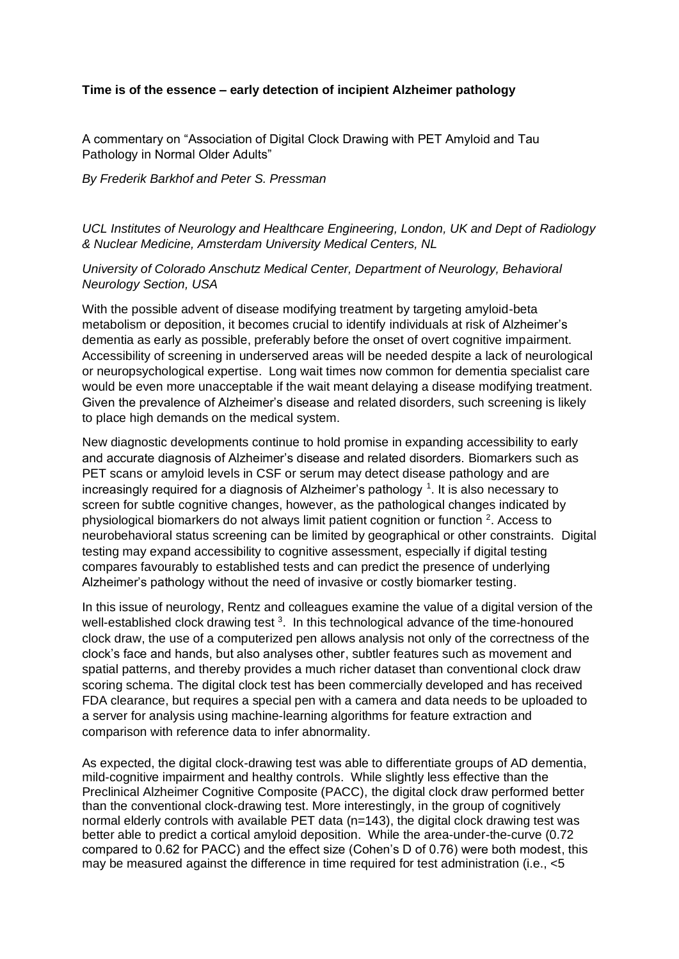## **Time is of the essence – early detection of incipient Alzheimer pathology**

A commentary on "Association of Digital Clock Drawing with PET Amyloid and Tau Pathology in Normal Older Adults"

## *By Frederik Barkhof and Peter S. Pressman*

*UCL Institutes of Neurology and Healthcare Engineering, London, UK and Dept of Radiology & Nuclear Medicine, Amsterdam University Medical Centers, NL*

## *University of Colorado Anschutz Medical Center, Department of Neurology, Behavioral Neurology Section, USA*

With the possible advent of disease modifying treatment by targeting amyloid-beta metabolism or deposition, it becomes crucial to identify individuals at risk of Alzheimer's dementia as early as possible, preferably before the onset of overt cognitive impairment. Accessibility of screening in underserved areas will be needed despite a lack of neurological or neuropsychological expertise. Long wait times now common for dementia specialist care would be even more unacceptable if the wait meant delaying a disease modifying treatment. Given the prevalence of Alzheimer's disease and related disorders, such screening is likely to place high demands on the medical system.

New diagnostic developments continue to hold promise in expanding accessibility to early and accurate diagnosis of Alzheimer's disease and related disorders. Biomarkers such as PET scans or amyloid levels in CSF or serum may detect disease pathology and are increasingly required for a diagnosis of Alzheimer's pathology<sup>1</sup>. It is also necessary to screen for subtle cognitive changes, however, as the pathological changes indicated by physiological biomarkers do not always limit patient cognition or function  $2$ . Access to neurobehavioral status screening can be limited by geographical or other constraints. Digital testing may expand accessibility to cognitive assessment, especially if digital testing compares favourably to established tests and can predict the presence of underlying Alzheimer's pathology without the need of invasive or costly biomarker testing.

In this issue of neurology, Rentz and colleagues examine the value of a digital version of the well-established clock drawing test <sup>3</sup>. In this technological advance of the time-honoured clock draw, the use of a computerized pen allows analysis not only of the correctness of the clock's face and hands, but also analyses other, subtler features such as movement and spatial patterns, and thereby provides a much richer dataset than conventional clock draw scoring schema. The digital clock test has been commercially developed and has received FDA clearance, but requires a special pen with a camera and data needs to be uploaded to a server for analysis using machine-learning algorithms for feature extraction and comparison with reference data to infer abnormality.

As expected, the digital clock-drawing test was able to differentiate groups of AD dementia, mild-cognitive impairment and healthy controls. While slightly less effective than the Preclinical Alzheimer Cognitive Composite (PACC), the digital clock draw performed better than the conventional clock-drawing test. More interestingly, in the group of cognitively normal elderly controls with available PET data (n=143), the digital clock drawing test was better able to predict a cortical amyloid deposition. While the area-under-the-curve (0.72 compared to 0.62 for PACC) and the effect size (Cohen's D of 0.76) were both modest, this may be measured against the difference in time required for test administration (i.e., <5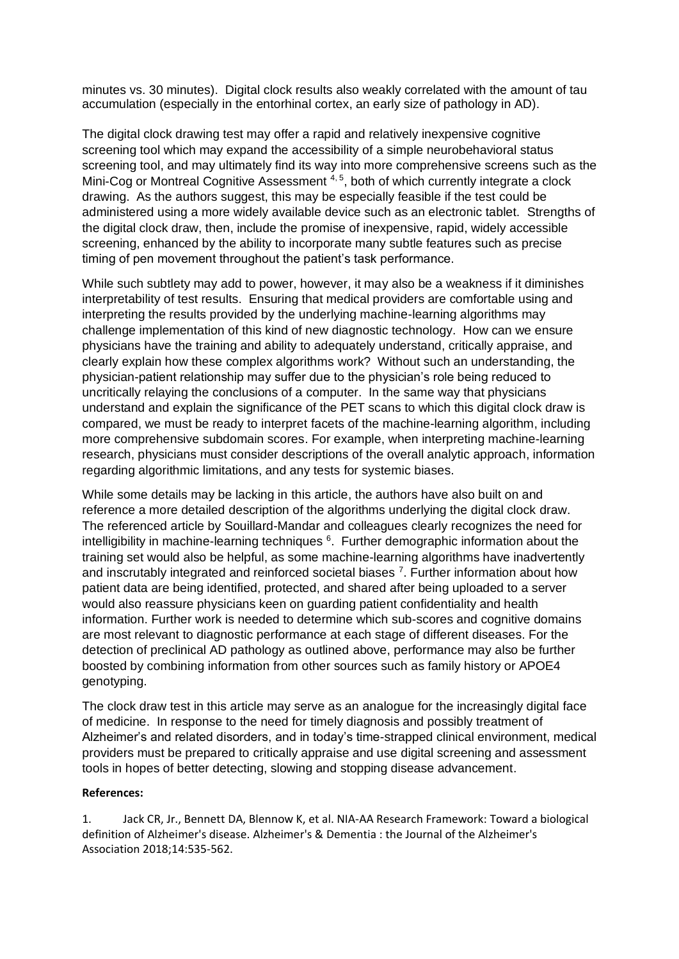minutes vs. 30 minutes). Digital clock results also weakly correlated with the amount of tau accumulation (especially in the entorhinal cortex, an early size of pathology in AD).

The digital clock drawing test may offer a rapid and relatively inexpensive cognitive screening tool which may expand the accessibility of a simple neurobehavioral status screening tool, and may ultimately find its way into more comprehensive screens such as the Mini-Cog or Montreal Cognitive Assessment 4, 5, both of which currently integrate a clock drawing. As the authors suggest, this may be especially feasible if the test could be administered using a more widely available device such as an electronic tablet. Strengths of the digital clock draw, then, include the promise of inexpensive, rapid, widely accessible screening, enhanced by the ability to incorporate many subtle features such as precise timing of pen movement throughout the patient's task performance.

While such subtlety may add to power, however, it may also be a weakness if it diminishes interpretability of test results. Ensuring that medical providers are comfortable using and interpreting the results provided by the underlying machine-learning algorithms may challenge implementation of this kind of new diagnostic technology. How can we ensure physicians have the training and ability to adequately understand, critically appraise, and clearly explain how these complex algorithms work? Without such an understanding, the physician-patient relationship may suffer due to the physician's role being reduced to uncritically relaying the conclusions of a computer. In the same way that physicians understand and explain the significance of the PET scans to which this digital clock draw is compared, we must be ready to interpret facets of the machine-learning algorithm, including more comprehensive subdomain scores. For example, when interpreting machine-learning research, physicians must consider descriptions of the overall analytic approach, information regarding algorithmic limitations, and any tests for systemic biases.

While some details may be lacking in this article, the authors have also built on and reference a more detailed description of the algorithms underlying the digital clock draw. The referenced article by Souillard-Mandar and colleagues clearly recognizes the need for intelligibility in machine-learning techniques  $6$ . Further demographic information about the training set would also be helpful, as some machine-learning algorithms have inadvertently and inscrutably integrated and reinforced societal biases  $<sup>7</sup>$ . Further information about how</sup> patient data are being identified, protected, and shared after being uploaded to a server would also reassure physicians keen on guarding patient confidentiality and health information. Further work is needed to determine which sub-scores and cognitive domains are most relevant to diagnostic performance at each stage of different diseases. For the detection of preclinical AD pathology as outlined above, performance may also be further boosted by combining information from other sources such as family history or APOE4 genotyping.

The clock draw test in this article may serve as an analogue for the increasingly digital face of medicine. In response to the need for timely diagnosis and possibly treatment of Alzheimer's and related disorders, and in today's time-strapped clinical environment, medical providers must be prepared to critically appraise and use digital screening and assessment tools in hopes of better detecting, slowing and stopping disease advancement.

## **References:**

1. Jack CR, Jr., Bennett DA, Blennow K, et al. NIA-AA Research Framework: Toward a biological definition of Alzheimer's disease. Alzheimer's & Dementia : the Journal of the Alzheimer's Association 2018;14:535-562.